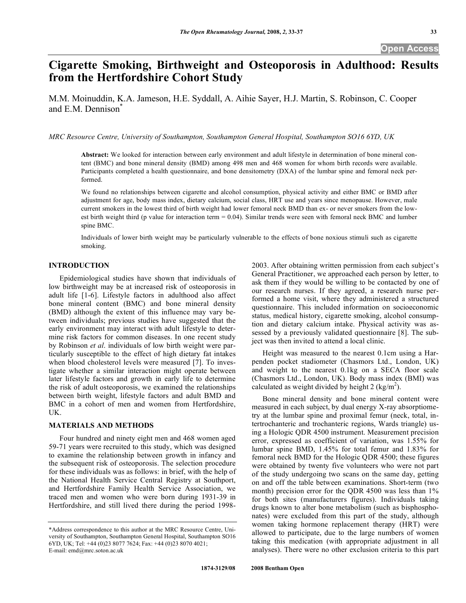## **Open Access**

# **Cigarette Smoking, Birthweight and Osteoporosis in Adulthood: Results from the Hertfordshire Cohort Study**

M.M. Moinuddin, K.A. Jameson, H.E. Syddall, A. Aihie Sayer, H.J. Martin, S. Robinson, C. Cooper and E.M. Dennison<sup>®</sup>

*MRC Resource Centre, University of Southampton, Southampton General Hospital, Southampton SO16 6YD, UK* 

**Abstract:** We looked for interaction between early environment and adult lifestyle in determination of bone mineral content (BMC) and bone mineral density (BMD) among 498 men and 468 women for whom birth records were available. Participants completed a health questionnaire, and bone densitometry (DXA) of the lumbar spine and femoral neck performed.

We found no relationships between cigarette and alcohol consumption, physical activity and either BMC or BMD after adjustment for age, body mass index, dietary calcium, social class, HRT use and years since menopause. However, male current smokers in the lowest third of birth weight had lower femoral neck BMD than ex- or never smokers from the lowest birth weight third (p value for interaction term  $= 0.04$ ). Similar trends were seen with femoral neck BMC and lumber spine BMC.

Individuals of lower birth weight may be particularly vulnerable to the effects of bone noxious stimuli such as cigarette smoking.

#### **INTRODUCTION**

 Epidemiological studies have shown that individuals of low birthweight may be at increased risk of osteoporosis in adult life [1-6]. Lifestyle factors in adulthood also affect bone mineral content (BMC) and bone mineral density (BMD) although the extent of this influence may vary between individuals; previous studies have suggested that the early environment may interact with adult lifestyle to determine risk factors for common diseases. In one recent study by Robinson *et al*. individuals of low birth weight were particularly susceptible to the effect of high dietary fat intakes when blood cholesterol levels were measured [7]. To investigate whether a similar interaction might operate between later lifestyle factors and growth in early life to determine the risk of adult osteoporosis, we examined the relationships between birth weight, lifestyle factors and adult BMD and BMC in a cohort of men and women from Hertfordshire, UK.

#### **MATERIALS AND METHODS**

 Four hundred and ninety eight men and 468 women aged 59-71 years were recruited to this study, which was designed to examine the relationship between growth in infancy and the subsequent risk of osteoporosis. The selection procedure for these individuals was as follows: in brief, with the help of the National Health Service Central Registry at Southport, and Hertfordshire Family Health Service Association, we traced men and women who were born during 1931-39 in Hertfordshire, and still lived there during the period 19982003. After obtaining written permission from each subject's General Practitioner, we approached each person by letter, to ask them if they would be willing to be contacted by one of our research nurses. If they agreed, a research nurse performed a home visit, where they administered a structured questionnaire. This included information on socioeconomic status, medical history, cigarette smoking, alcohol consumption and dietary calcium intake. Physical activity was assessed by a previously validated questionnaire [8]. The subject was then invited to attend a local clinic.

 Height was measured to the nearest 0.1cm using a Harpenden pocket stadiometer (Chasmors Ltd., London, UK) and weight to the nearest 0.1kg on a SECA floor scale (Chasmors Ltd., London, UK). Body mass index (BMI) was calculated as weight divided by height 2 (kg/m<sup>2</sup>).

 Bone mineral density and bone mineral content were measured in each subject, by dual energy X-ray absorptiometry at the lumbar spine and proximal femur (neck, total, intertrochanteric and trochanteric regions, Wards triangle) using a Hologic QDR 4500 instrument. Measurement precision error, expressed as coefficient of variation, was 1.55% for lumbar spine BMD, 1.45% for total femur and 1.83% for femoral neck BMD for the Hologic QDR 4500; these figures were obtained by twenty five volunteers who were not part of the study undergoing two scans on the same day, getting on and off the table between examinations. Short-term (two month) precision error for the QDR 4500 was less than 1% for both sites (manufacturers figures). Individuals taking drugs known to alter bone metabolism (such as bisphosphonates) were excluded from this part of the study, although women taking hormone replacement therapy (HRT) were allowed to participate, due to the large numbers of women taking this medication (with appropriate adjustment in all analyses). There were no other exclusion criteria to this part

<sup>\*</sup>Address correspondence to this author at the MRC Resource Centre, University of Southampton, Southampton General Hospital, Southampton SO16 6YD, UK; Tel: +44 (0)23 8077 7624; Fax: +44 (0)23 8070 4021; E-mail: emd@mrc.soton.ac.uk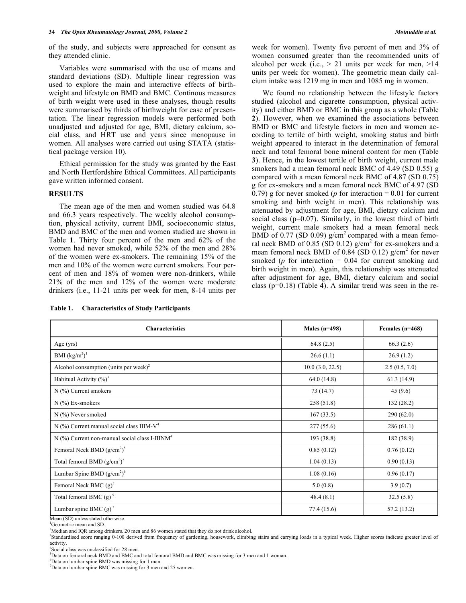of the study, and subjects were approached for consent as they attended clinic.

 Variables were summarised with the use of means and standard deviations (SD). Multiple linear regression was used to explore the main and interactive effects of birthweight and lifestyle on BMD and BMC. Continous measures of birth weight were used in these analyses, though results were summarised by thirds of birthweight for ease of presentation. The linear regression models were performed both unadjusted and adjusted for age, BMI, dietary calcium, social class, and HRT use and years since menopause in women. All analyses were carried out using STATA (statistical package version 10)*.*

 Ethical permission for the study was granted by the East and North Hertfordshire Ethical Committees. All participants gave written informed consent.

#### **RESULTS**

 The mean age of the men and women studied was 64.8 and 66.3 years respectively. The weekly alcohol consumption, physical activity, current BMI, socioeconomic status, BMD and BMC of the men and women studied are shown in Table **1**. Thirty four percent of the men and 62% of the women had never smoked, while 52% of the men and 28% of the women were ex-smokers. The remaining 15% of the men and 10% of the women were current smokers. Four percent of men and 18% of women were non-drinkers, while 21% of the men and 12% of the women were moderate drinkers (i.e., 11-21 units per week for men, 8-14 units per

**Table 1. Characteristics of Study Participants** 

| week for women). Twenty five percent of men and 3% of        |
|--------------------------------------------------------------|
| women consumed greater than the recommended units of         |
| alcohol per week (i.e., $> 21$ units per week for men, $>14$ |
| units per week for women). The geometric mean daily cal-     |
| cium intake was 1219 mg in men and 1085 mg in women.         |

 We found no relationship between the lifestyle factors studied (alcohol and cigarette consumption, physical activity) and either BMD or BMC in this group as a whole (Table **2**). However, when we examined the associations between BMD or BMC and lifestyle factors in men and women according to tertile of birth weight, smoking status and birth weight appeared to interact in the determination of femoral neck and total femoral bone mineral content for men (Table **3**). Hence, in the lowest tertile of birth weight, current male smokers had a mean femoral neck BMC of 4.49 (SD 0.55) g compared with a mean femoral neck BMC of 4.87 (SD 0.75) g for ex-smokers and a mean femoral neck BMC of 4.97 (SD 0.79) g for never smoked ( $p$  for interaction = 0.01 for current smoking and birth weight in men). This relationship was attenuated by adjustment for age, BMI, dietary calcium and social class (p=0.07). Similarly, in the lowest third of birth weight, current male smokers had a mean femoral neck BMD of 0.77 (SD 0.09)  $g/cm^2$  compared with a mean femoral neck BMD of 0.85 (SD 0.12)  $g/cm^2$  for ex-smokers and a mean femoral neck BMD of  $0.84$  (SD 0.12) g/cm<sup>2</sup> for never smoked ( $p$  for interaction  $= 0.04$  for current smoking and birth weight in men). Again, this relationship was attenuated after adjustment for age, BMI, dietary calcium and social class (p=0.18) (Table **4**). A similar trend was seen in the re-

| <b>Characteristics</b>                                     | Males $(n=498)$  | Females $(n=468)$ |
|------------------------------------------------------------|------------------|-------------------|
| Age $(yrs)$                                                | 64.8(2.5)        | 66.3(2.6)         |
| BMI $(kg/m2)1$                                             | 26.6(1.1)        | 26.9(1.2)         |
| Alcohol consumption (units per week) <sup>2</sup>          | 10.0 (3.0, 22.5) | 2.5(0.5, 7.0)     |
| Habitual Activity $(\%)^3$                                 | 64.0(14.8)       | 61.3(14.9)        |
| $N$ (%) Current smokers                                    | 73 (14.7)        | 45(9.6)           |
| $N$ (%) Ex-smokers                                         | 258(51.8)        | 132(28.2)         |
| N (%) Never smoked                                         | 167(33.5)        | 290(62.0)         |
| N (%) Current manual social class IIIM-V <sup>4</sup>      | 277(55.6)        | 286(61.1)         |
| N (%) Current non-manual social class I-IIINM <sup>4</sup> | 193 (38.8)       | 182 (38.9)        |
| Femoral Neck BMD $(g/cm^2)^5$                              | 0.85(0.12)       | 0.76(0.12)        |
| Total femoral BMD $(g/cm^2)^5$                             | 1.04(0.13)       | 0.90(0.13)        |
| Lumbar Spine BMD $(g/cm^2)^6$                              | 1.08(0.16)       | 0.96(0.17)        |
| Femoral Neck BMC $(g)^5$                                   | 5.0(0.8)         | 3.9(0.7)          |
| Total femoral BMC $(g)^5$                                  | 48.4(8.1)        | 32.5(5.8)         |
| Lumbar spine BMC $(g)^7$                                   | 77.4 (15.6)      | 57.2 (13.2)       |

Mean (SD) unless stated otherwise.

<sup>1</sup>Geometric mean and SD.

<sup>2</sup>Median and IQR among drinkers. 20 men and 86 women stated that they do not drink alcohol.

<sup>3</sup>Standardised score ranging 0-100 derived from frequency of gardening, housework, climbing stairs and carrying loads in a typical week. Higher scores indicate greater level of activity.

4 Social class was unclassified for 28 men.

5 Data on femoral neck BMD and BMC and total femoral BMD and BMC was missing for 3 men and 1 woman.

6 Data on lumbar spine BMD was missing for 1 man.

7 Data on lumbar spine BMC was missing for 3 men and 25 women.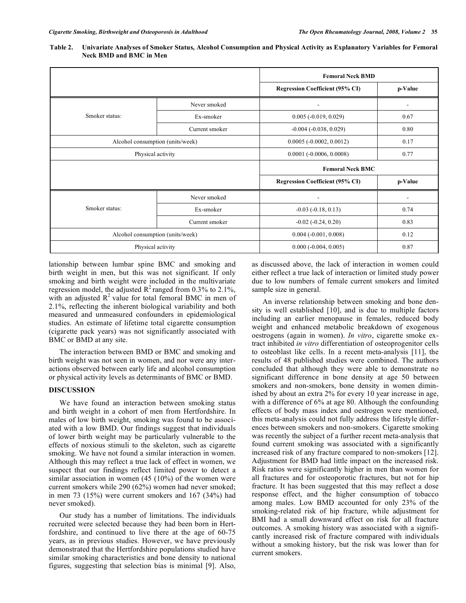| Table 2. Univariate Analyses of Smoker Status, Alcohol Consumption and Physical Activity as Explanatory Variables for Femoral |
|-------------------------------------------------------------------------------------------------------------------------------|
| Neck BMD and BMC in Men                                                                                                       |

|                                  |                                                   | <b>Femoral Neck BMD</b>                   |         |  |
|----------------------------------|---------------------------------------------------|-------------------------------------------|---------|--|
|                                  |                                                   | <b>Regression Coefficient (95% CI)</b>    | p-Value |  |
|                                  | Never smoked                                      |                                           |         |  |
| Smoker status:                   | Ex-smoker                                         | $0.005 (-0.019, 0.029)$                   | 0.67    |  |
|                                  | $-0.004$ ( $-0.038$ , $0.029$ )<br>Current smoker |                                           | 0.80    |  |
| Alcohol consumption (units/week) |                                                   | $0.0005 (-0.0002, 0.0012)$                | 0.17    |  |
| Physical activity                |                                                   | $0.0001$ ( $-0.0006$ , $0.0008$ )<br>0.77 |         |  |
|                                  |                                                   | <b>Femoral Neck BMC</b>                   |         |  |
|                                  |                                                   |                                           |         |  |
|                                  |                                                   | <b>Regression Coefficient (95% CI)</b>    | p-Value |  |
|                                  | Never smoked                                      |                                           | ٠       |  |
| Smoker status:                   | Ex-smoker                                         | $-0.03$ $(-0.18, 0.13)$                   | 0.74    |  |
|                                  | Current smoker                                    | $-0.02$ $(-0.24, 0.20)$                   | 0.83    |  |
| Alcohol consumption (units/week) |                                                   | $0.004 (-0.001, 0.008)$                   | 0.12    |  |

lationship between lumbar spine BMC and smoking and birth weight in men, but this was not significant. If only smoking and birth weight were included in the multivariate regression model, the adjusted  $\mathbb{R}^2$  ranged from 0.3% to 2.1%, with an adjusted  $R^2$  value for total femoral BMC in men of 2.1%, reflecting the inherent biological variability and both measured and unmeasured confounders in epidemiological studies. An estimate of lifetime total cigarette consumption (cigarette pack years) was not significantly associated with BMC or BMD at any site.

 The interaction between BMD or BMC and smoking and birth weight was not seen in women, and nor were any interactions observed between early life and alcohol consumption or physical activity levels as determinants of BMC or BMD.

### **DISCUSSION**

 We have found an interaction between smoking status and birth weight in a cohort of men from Hertfordshire. In males of low birth weight, smoking was found to be associated with a low BMD. Our findings suggest that individuals of lower birth weight may be particularly vulnerable to the effects of noxious stimuli to the skeleton, such as cigarette smoking. We have not found a similar interaction in women. Although this may reflect a true lack of effect in women, we suspect that our findings reflect limited power to detect a similar association in women (45 (10%) of the women were current smokers while 290 (62%) women had never smoked; in men 73 (15%) were current smokers and 167 (34%) had never smoked).

 Our study has a number of limitations. The individuals recruited were selected because they had been born in Hertfordshire, and continued to live there at the age of 60-75 years, as in previous studies. However, we have previously demonstrated that the Hertfordshire populations studied have similar smoking characteristics and bone density to national figures, suggesting that selection bias is minimal [9]. Also,

as discussed above, the lack of interaction in women could either reflect a true lack of interaction or limited study power due to low numbers of female current smokers and limited sample size in general.

 An inverse relationship between smoking and bone density is well established [10], and is due to multiple factors including an earlier menopause in females, reduced body weight and enhanced metabolic breakdown of exogenous oestrogens (again in women). *In vitro*, cigarette smoke extract inhibited *in vitro* differentiation of osteoprogenitor cells to osteoblast like cells. In a recent meta-analysis [11], the results of 48 published studies were combined. The authors concluded that although they were able to demonstrate no significant difference in bone density at age 50 between smokers and non-smokers, bone density in women diminished by about an extra 2% for every 10 year increase in age, with a difference of 6% at age 80. Although the confounding effects of body mass index and oestrogen were mentioned, this meta-analysis could not fully address the lifestyle differences between smokers and non-smokers. Cigarette smoking was recently the subject of a further recent meta-analysis that found current smoking was associated with a significantly increased risk of any fracture compared to non-smokers [12]. Adjustment for BMD had little impact on the increased risk. Risk ratios were significantly higher in men than women for all fractures and for osteoporotic fractures, but not for hip fracture. It has been suggested that this may reflect a dose response effect, and the higher consumption of tobacco among males. Low BMD accounted for only 23% of the smoking-related risk of hip fracture, while adjustment for BMI had a small downward effect on risk for all fracture outcomes. A smoking history was associated with a significantly increased risk of fracture compared with individuals without a smoking history, but the risk was lower than for current smokers.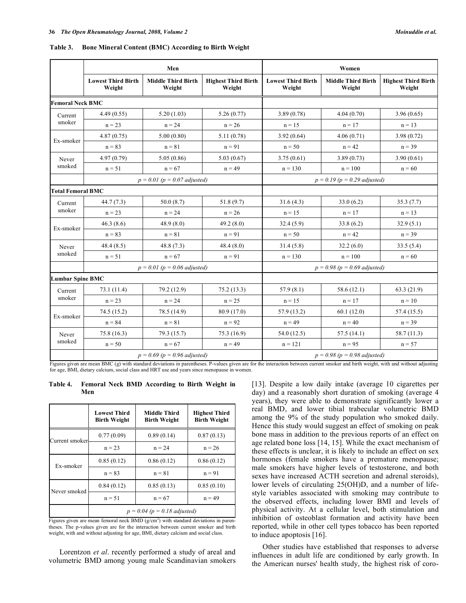| Table 3. | <b>Bone Mineral Content (BMC) According to Birth Weight</b> |  |  |
|----------|-------------------------------------------------------------|--|--|
|          |                                                             |  |  |

|                          |                                     | Men                                 |                                      | Women                               |                                     |                                      |
|--------------------------|-------------------------------------|-------------------------------------|--------------------------------------|-------------------------------------|-------------------------------------|--------------------------------------|
|                          | <b>Lowest Third Birth</b><br>Weight | <b>Middle Third Birth</b><br>Weight | <b>Highest Third Birth</b><br>Weight | <b>Lowest Third Birth</b><br>Weight | <b>Middle Third Birth</b><br>Weight | <b>Highest Third Birth</b><br>Weight |
| <b>Femoral Neck BMC</b>  |                                     |                                     |                                      |                                     |                                     |                                      |
| Current                  | 4.49(0.55)                          | 5.20(1.03)                          | 5.26(0.77)                           | 3.89(0.78)                          | 4.04(0.70)                          | 3.96(0.65)                           |
| smoker                   | $n = 23$                            | $n = 24$                            | $n = 26$                             | $n = 15$                            | $n = 17$                            | $n = 13$                             |
| Ex-smoker                | 4.87(0.75)                          | 5.00(0.80)                          | 5.11(0.78)                           | 3.92(0.64)                          | 4.06(0.71)                          | 3.98(0.72)                           |
|                          | $n = 83$                            | $n = 81$                            | $n = 91$                             | $n = 50$                            | $n = 42$                            | $n = 39$                             |
| Never                    | 4.97(0.79)                          | 5.05(0.86)                          | 5.03(0.67)                           | 3.75(0.61)                          | 3.89(0.73)                          | 3.90(0.61)                           |
| smoked                   | $n = 51$                            | $n = 67$                            | $n = 49$                             | $n = 130$                           | $n = 100$                           | $n = 60$                             |
|                          |                                     | $p = 0.01$ ( $p = 0.07$ adjusted)   |                                      |                                     | $p = 0.19$ ( $p = 0.29$ adjusted)   |                                      |
| <b>Total Femoral BMC</b> |                                     |                                     |                                      |                                     |                                     |                                      |
| Current                  | 44.7(7.3)                           | 50.0(8.7)                           | 51.8 (9.7)                           | 31.6(4.3)                           | 33.0(6.2)                           | 35.3(7.7)                            |
| smoker                   | $n = 23$                            | $n = 24$                            | $n = 26$                             | $n = 15$                            | $n = 17$                            | $n = 13$                             |
| Ex-smoker                | 46.3(8.6)                           | 48.9(8.0)                           | 49.2(8.0)                            | 32.4(5.9)                           | 33.8(6.2)                           | 32.9(5.1)                            |
|                          | $n = 83$                            | $n = 81$                            | $n = 91$                             | $n = 50$                            | $n = 42$                            | $n = 39$                             |
| Never                    | 48.4 (8.5)                          | 48.8(7.3)                           | 48.4(8.0)                            | 31.4(5.8)                           | 32.2(6.0)                           | 33.5(5.4)                            |
| smoked                   | $n = 51$                            | $n = 67$                            | $n = 91$                             | $n = 130$                           | $n = 100$                           | $n = 60$                             |
|                          | $p = 0.01$ ( $p = 0.06$ adjusted)   |                                     | $p = 0.98 (p = 0.69$ adjusted)       |                                     |                                     |                                      |
| <b>Lumbar Spine BMC</b>  |                                     |                                     |                                      |                                     |                                     |                                      |
| Current                  | 73.1(11.4)                          | 79.2 (12.9)                         | 75.2(13.3)                           | 57.9(8.1)                           | 58.6(12.1)                          | 63.3(21.9)                           |
| smoker                   | $n = 23$                            | $n = 24$                            | $n = 25$                             | $n = 15$                            | $n = 17$                            | $n = 10$                             |
| Ex-smoker                | 74.5 (15.2)                         | 78.5 (14.9)                         | 80.9 (17.0)                          | 57.9 (13.2)                         | 60.1(12.0)                          | 57.4 (15.5)                          |
|                          | $n = 84$                            | $n = 81$                            | $n = 92$                             | $n = 49$                            | $n = 40$                            | $n = 39$                             |
| Never                    | 75.8 (16.3)                         | 79.3 (15.7)                         | 75.3 (16.9)                          | 54.0 (12.5)                         | 57.5(14.1)                          | 58.7 (11.3)                          |
| smoked                   | $n = 50$                            | $n = 67$                            | $n = 49$                             | $n = 121$                           | $n = 95$                            | $n = 57$                             |
|                          |                                     | $p = 0.69$ ( $p = 0.96$ adjusted)   |                                      |                                     | $p = 0.98 (p = 0.98$ adjusted)      |                                      |

Figures given are mean BMC (g) with standard deviations in parentheses. P-values given are for the interaction between current smoker and birth weight, with and without adjusting for age, BMI, dietary calcium, social class and HRT use and years since menopause in women.

**Table 4. Femoral Neck BMD According to Birth Weight in Men** 

|                | <b>Lowest Third</b><br><b>Birth Weight</b> | Middle Third<br><b>Birth Weight</b> | <b>Highest Third</b><br><b>Birth Weight</b> |
|----------------|--------------------------------------------|-------------------------------------|---------------------------------------------|
| Current smoker | 0.77(0.09)                                 | 0.89(0.14)                          | 0.87(0.13)                                  |
|                | $n = 23$                                   | $n = 24$                            | $n = 26$                                    |
| Ex-smoker      | 0.85(0.12)                                 | 0.86(0.12)                          | 0.86(0.12)                                  |
|                | $n = 83$                                   | $n = 81$                            | $n = 91$                                    |
| Never smoked   | 0.84(0.12)                                 | 0.85(0.13)                          | 0.85(0.10)                                  |
|                | $n = 51$                                   | $n = 67$                            | $n = 49$                                    |
|                | $p = 0.04$ ( $p = 0.18$ adjusted)          |                                     |                                             |

Figures given are mean femoral neck BMD  $(g/cm<sup>2</sup>)$  with standard deviations in parentheses. The p-values given are for the interaction between current smoker and birth weight, with and without adjusting for age, BMI, dietary calcium and social class.

 Lorentzon *et al*. recently performed a study of areal and volumetric BMD among young male Scandinavian smokers [13]. Despite a low daily intake (average 10 cigarettes per day) and a reasonably short duration of smoking (average 4 years), they were able to demonstrate significantly lower a real BMD, and lower tibial trabecular volumetric BMD among the 9% of the study population who smoked daily. Hence this study would suggest an effect of smoking on peak bone mass in addition to the previous reports of an effect on age related bone loss [14, 15]. While the exact mechanism of these effects is unclear, it is likely to include an effect on sex hormones (female smokers have a premature menopause; male smokers have higher levels of testosterone, and both sexes have increased ACTH secretion and adrenal steroids), lower levels of circulating 25(OH)D, and a number of lifestyle variables associated with smoking may contribute to the observed effects, including lower BMI and levels of physical activity. At a cellular level, both stimulation and inhibition of osteoblast formation and activity have been reported, while in other cell types tobacco has been reported to induce apoptosis [16].

 Other studies have established that responses to adverse influences in adult life are conditioned by early growth. In the American nurses' health study, the highest risk of coro-